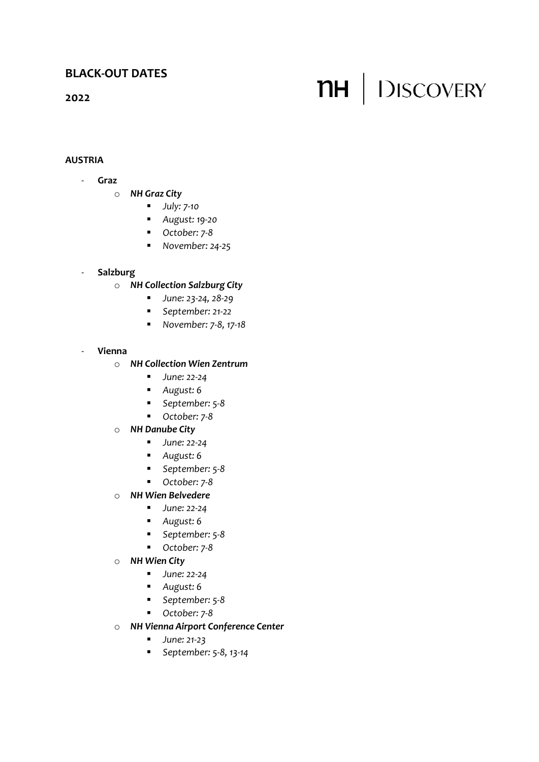# **2022**

# **AUSTRIA**

- **Graz** 
	- o *NH Graz City*
		- *July: 7-10*
		- *August: 19-20*
		- *October: 7-8*
		- *November: 24-25*

## - **Salzburg**

- o *NH Collection Salzburg City*
	- *June: 23-24, 28-29*
	- *September: 21-22*
	- *November: 7-8, 17-18*

#### - **Vienna**

## o *NH Collection Wien Zentrum*

- *June:* 22-24
- *August: 6*
- *September: 5-8*
- *October: 7-8*

## o *NH Danube City*

- *June: 22-24*
- *August: 6*
- *September: 5-8*
- *October: 7-8*
- o *NH Wien Belvedere*
	- *June:* 22-24
	- *August: 6*
	- *September: 5-8*
	- *October: 7-8*
- o *NH Wien City*
	- *June: 22-24*
	- *August: 6*
	- *September: 5-8*
	- *October: 7-8*
- o *NH Vienna Airport Conference Center*
	- *June: 21-23*
	- *September: 5-8, 13-14*

# **NH** DISCOVERY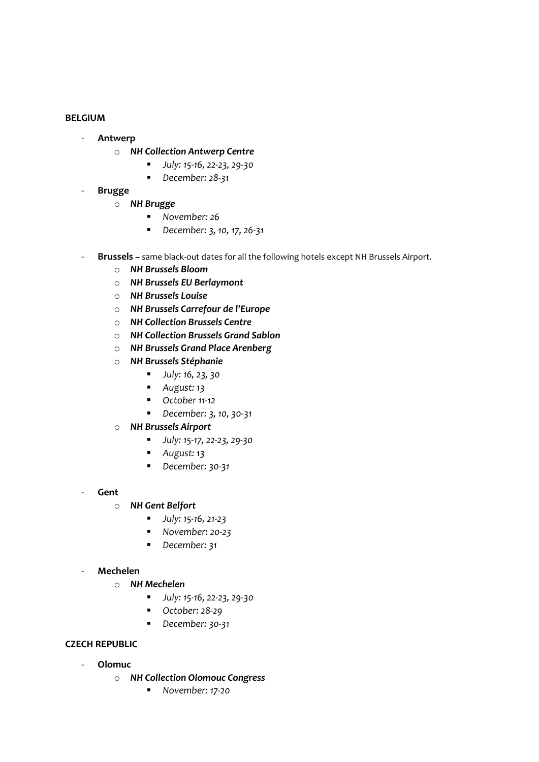#### **BELGIUM**

- **Antwerp**
	- o *NH Collection Antwerp Centre*
		- *July: 15-16, 22-23, 29-30*
		- *December:* 28-31
- **Brugge**
	- o *NH Brugge*
		- *November: 26*
		- *December: 3, 10, 17, 26-31*
- **Brussels –** same black-out dates for all the following hotels except NH Brussels Airport.
	- o *NH Brussels Bloom*
	- o *NH Brussels EU Berlaymont*
	- o *NH Brussels Louise*
	- o *NH Brussels Carrefour de l'Europe*
	- o *NH Collection Brussels Centre*
	- o *NH Collection Brussels Grand Sablon*
	- o *NH Brussels Grand Place Arenberg*
	- o *NH Brussels Stéphanie*
		- *July: 16, 23, 30*
		- *August: 13*
		- *October 11-12*
		- *December: 3, 10, 30-31*
	- o *NH Brussels Airport*
		- *July: 15-17, 22-23, 29-30*
		- *August: 13*
		- *December: 30-31*
- **Gent**
	- o *NH Gent Belfort*
		- *July: 15-16, 21-23*
		- *November: 20-23*
		- *December: 31*

#### - **Mechelen**

- o *NH Mechelen*
	- *July: 15-16, 22-23, 29-30*
	- *October: 28-29*
	- *December: 30-31*

## **CZECH REPUBLIC**

- **Olomuc**
	- o *NH Collection Olomouc Congress*
		- **November: 17-20**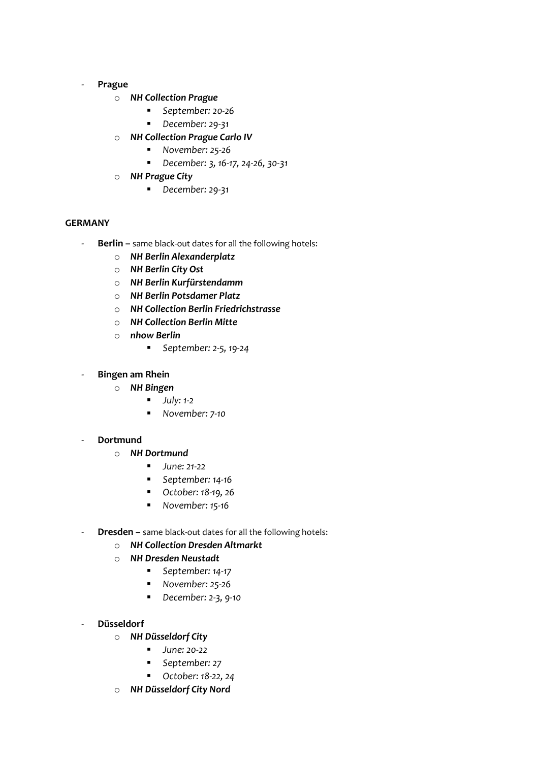#### - **Prague**

- o *NH Collection Prague*
	- *September: 20-26*
	- *December: 29-31*
- o *NH Collection Prague Carlo IV*
	- *November: 25-26*
	- *December: 3, 16-17, 24-26, 30-31*
- o *NH Prague City*
	- *December: 29-31*

# **GERMANY**

- **Berlin –** same black-out dates for all the following hotels:
	- o *NH Berlin Alexanderplatz*
	- o *NH Berlin City Ost*
	- o *NH Berlin Kurfürstendamm*
	- o *NH Berlin Potsdamer Platz*
	- o *NH Collection Berlin Friedrichstrasse*
	- o *NH Collection Berlin Mitte*
	- o *nhow Berlin*
		- *September: 2-5, 19-24*
- **Bingen am Rhein**
	- o *NH Bingen*
		- *July:* 1-2
		- *November: 7-10*

#### - **Dortmund**

- o *NH Dortmund*
	- *June: 21-22*
	- *September: 14-16*
	- *October: 18-19, 26*
	- *November:* 15-16
- **Dresden –** same black-out dates for all the following hotels:
	- o *NH Collection Dresden Altmarkt*
	- o *NH Dresden Neustadt*
		- *September: 14-17*
		- *November: 25-26*
		- *December: 2-3, 9-10*
- **Düsseldorf** 
	- o *NH Düsseldorf City*
		- *June:* 20-22
		- *September:* 27
		- *October: 18-22, 24*
	- o *NH Düsseldorf City Nord*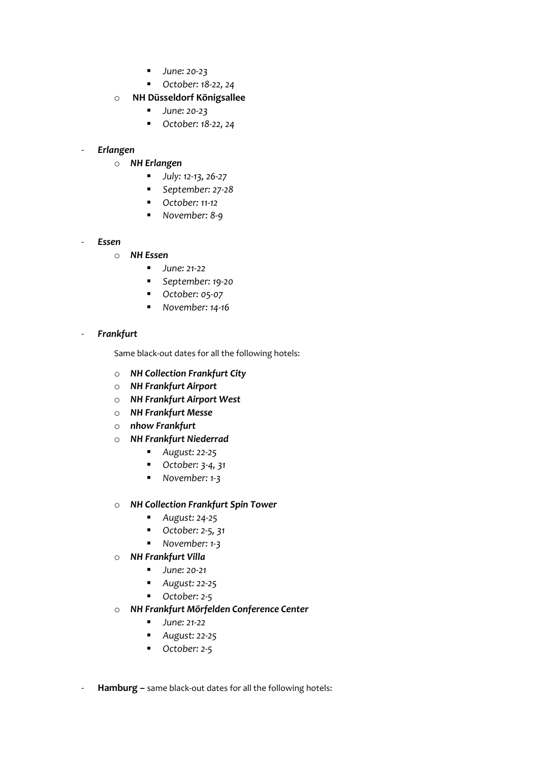- *June:* 20-23
- *October: 18-22, 24*

## o **NH Düsseldorf Königsallee**

- *June:* 20-23
- *October: 18-22, 24*

## - *Erlangen*

- o *NH Erlangen*
	- *July: 12-13, 26-27*
	- *September: 27-28*
	- *October: 11-12*
	- *November: 8-9*

#### - *Essen*

- o *NH Essen*
	- *June: 21-22*
	- *September: 19-20*
	- *October: 05-07*
	- *November: 14-16*

#### - *Frankfurt*

Same black-out dates for all the following hotels:

- o *NH Collection Frankfurt City*
- o *NH Frankfurt Airport*
- o *NH Frankfurt Airport West*
- o *NH Frankfurt Messe*
- o *nhow Frankfurt*
- o *NH Frankfurt Niederrad*
	- *August: 22-25*
	- *October: 3-4, 31*
	- *November: 1-3*

#### o *NH Collection Frankfurt Spin Tower*

- *August: 24-25*
- *October: 2-5, 31*
- *November: 1-3*
- o *NH Frankfurt Villa*
	- *June: 20-21*
	- *August: 22-25*
	- *October: 2-5*
- o *NH Frankfurt Mörfelden Conference Center*
	- *June: 21-22*
	- *August: 22-25*
	- *October: 2-5*
- Hamburg same black-out dates for all the following hotels: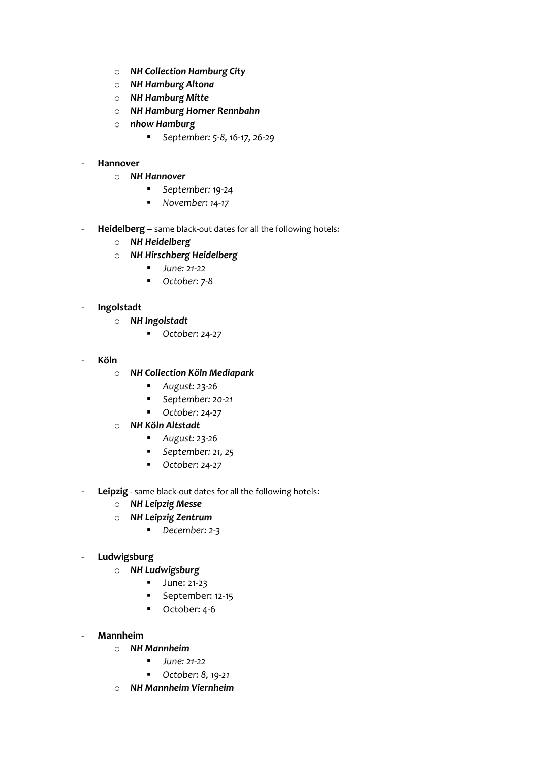- o *NH Collection Hamburg City*
- o *NH Hamburg Altona*
- o *NH Hamburg Mitte*
- o *NH Hamburg Horner Rennbahn*
- o *nhow Hamburg*
	- *September: 5-8, 16-17, 26-29*

## - **Hannover**

- o *NH Hannover*
	- *September: 19-24*
	- *November:* 14-17
- **Heidelberg –** same black-out dates for all the following hotels:
	- o *NH Heidelberg*
	- o *NH Hirschberg Heidelberg*
		- *June: 21-22*
		- *October: 7-8*

## - **Ingolstadt**

- o *NH Ingolstadt*
	- *October: 24-27*
- **Köln**
	- o *NH Collection Köln Mediapark*
		- *August: 23-26*
		- *September: 20-21*
		- *October: 24-27*

## o *NH Köln Altstadt*

- *August: 23-26*
- *September: 21, 25*
- *October: 24-27*
- **Leipzig** same black-out dates for all the following hotels:
	- o *NH Leipzig Messe*
	- o *NH Leipzig Zentrum*
		- *December: 2-3*
- **Ludwigsburg**
	- o *NH Ludwigsburg*
		- June: 21-23
		- September: 12-15
		- October: 4-6
- **Mannheim**
	- o *NH Mannheim*
		- *June: 21-22*
		- *October: 8, 19-21*
	- o *NH Mannheim Viernheim*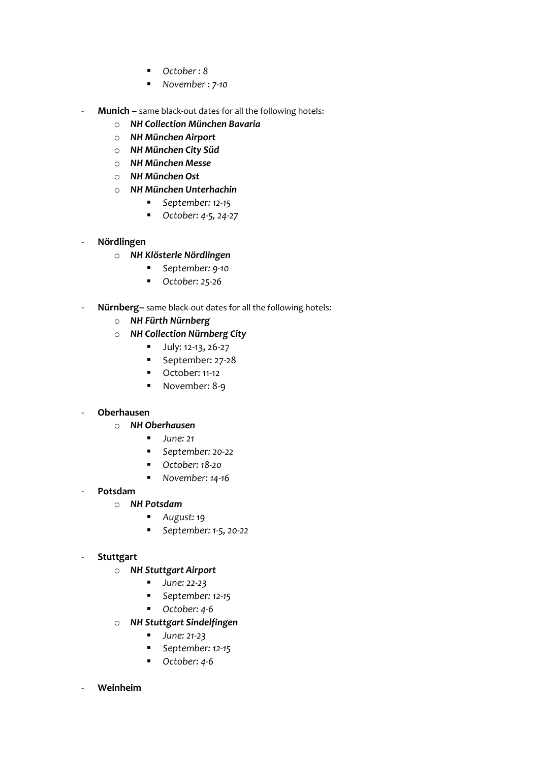- *October : 8*
- *November : 7-10*
- **Munich –** same black-out dates for all the following hotels:
	- o *NH Collection München Bavaria*
	- o *NH München Airport*
	- o *NH München City Süd*
	- o *NH München Messe*
	- o *NH München Ost*
	- o *NH München Unterhachin*
		- *September:* 12-15
		- *October: 4-5, 24-27*

## - **Nördlingen**

- o *NH Klösterle Nördlingen*
	- September: 9-10
	- *October: 25-26*
- Nürnberg- same black-out dates for all the following hotels:
	- o *NH Fürth Nürnberg*
	- o *NH Collection Nürnberg City*
		- July: 12-13, 26-27
		- September: 27-28
		- October: 11-12
		- November: 8-9

# - **Oberhausen**

- o *NH Oberhausen*
	- *June: 21*
	- *September: 20-22*
	- *October:* 18-20
	- **November: 14-16**
- **Potsdam**
	- o *NH Potsdam*
		- *August: 19*
		- *September: 1-5, 20-22*

## - **Stuttgart**

- o *NH Stuttgart Airport*
	- *June:* 22-23
	- *September:* 12-15
	- *October: 4-6*
- o *NH Stuttgart Sindelfingen*
	- *June: 21-23*
	- *September: 12-15*
	- *October: 4-6*

## - **Weinheim**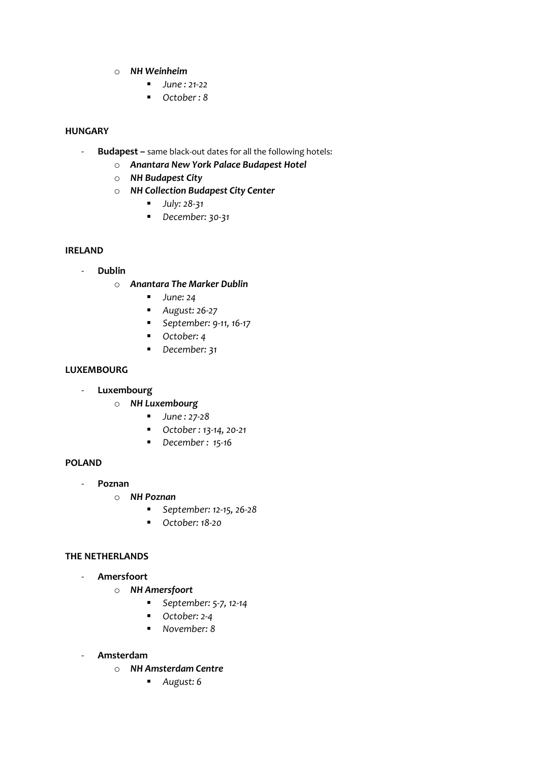- o *NH Weinheim*
	- *June : 21-22*
	- *October : 8*

# **HUNGARY**

- **Budapest –** same black-out dates for all the following hotels:
	- o *Anantara New York Palace Budapest Hotel*
	- o *NH Budapest City*
	- o *NH Collection Budapest City Center*
		- *July: 28-31*
		- *December:* 30-31

# **IRELAND**

- **Dublin**
	- o *Anantara The Marker Dublin*
		- *June:* 24
		- *August: 26-27*
		- *September: 9-11, 16-17*
		- *October: 4*
		- *December: 31*

## **LUXEMBOURG**

- **Luxembourg**
	- o *NH Luxembourg*
		- *June : 27-28*
		- *October : 13-14, 20-21*
		- *December : 15-16*

# **POLAND**

- **Poznan**
	- o *NH Poznan*
		- *September: 12-15, 26-28*
		- *October: 18-20*

#### **THE NETHERLANDS**

- **Amersfoort**
	- o *NH Amersfoort*
		- *September: 5-7, 12-14*
		- *October: 2-4*
		- *November: 8*
- **Amsterdam**
	- o *NH Amsterdam Centre*
		- *August: 6*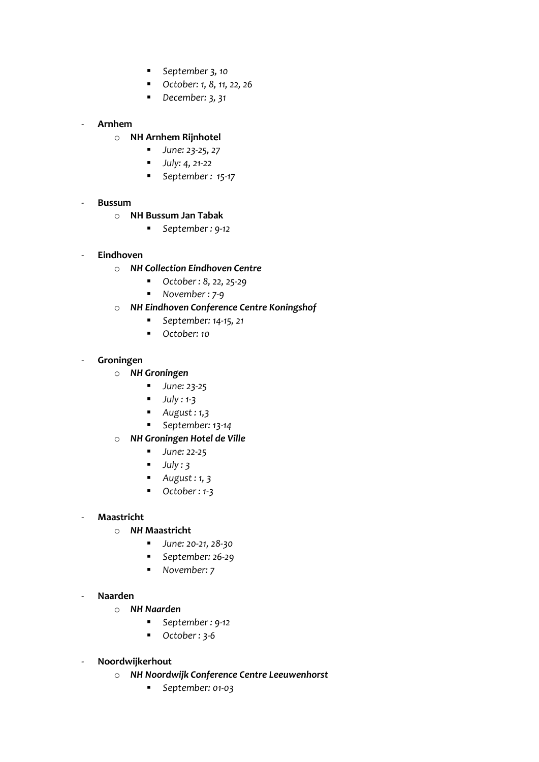- *September 3, 10*
- *October: 1, 8, 11, 22, 26*
- *December: 3, 31*

# - **Arnhem**

- o **NH Arnhem Rijnhotel**
	- *June: 23-25, 27*
	- *July: 4, 21-22*
	- *September : 15-17*

## - **Bussum**

- o **NH Bussum Jan Tabak**
	- *September : 9-12*

# - **Eindhoven**

- o *NH Collection Eindhoven Centre*
	- *October : 8, 22, 25-29*
	- *November : 7-9*
- o *NH Eindhoven Conference Centre Koningshof*
	- **September: 14-15, 21**
	- *October: 10*

## - **Groningen**

- o *NH Groningen*
	- *June: 23-25*
	- *July : 1-3*
	- *August : 1,3*
	- *September: 13-14*
- o *NH Groningen Hotel de Ville*
	- *June:* 22-25
	- *July : 3*
	- *August : 1, 3*
	- *October : 1-3*

## - **Maastricht**

- o *NH* **Maastricht** 
	- *June: 20-21, 28-30*
	- *September: 26-29*
	- *November: 7*

## - **Naarden**

- o *NH Naarden*
	- *September : 9-12*
	- *October:* 3-6
- **Noordwijkerhout**
	- o *NH Noordwijk Conference Centre Leeuwenhorst*
		- *September: 01-03*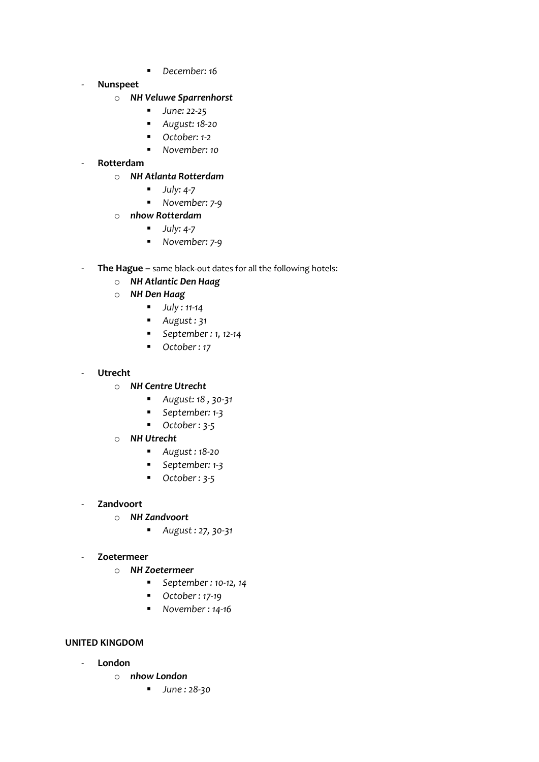- *December: 16*
- **Nunspeet**

#### o *NH Veluwe Sparrenhorst*

- *June:* 22-25
- *August: 18-20*
- *October:* 1-2
- *November: 10*
- **Rotterdam**
	- o *NH Atlanta Rotterdam*
		- *July: 4-7*
		- *November: 7-9*
	- o *nhow Rotterdam*
		- *July: 4-7*
		- *November: 7-9*
- **The Hague –** same black-out dates for all the following hotels:
	- o *NH Atlantic Den Haag*
	- o *NH Den Haag*
		- *July : 11-14*
		- *August : 31*
		- *September : 1, 12-14*
		- *October : 17*
- **Utrecht**
	- o *NH Centre Utrecht*
		- *August: 18 , 30-31*
		- *September: 1-3*
		- *October : 3-5*
	- o *NH Utrecht*
		- *August : 18-20*
		- *September: 1-3*
		- *October:* 3-5
- **Zandvoort**
	- o *NH Zandvoort*
		- *August : 27, 30-31*
- **Zoetermeer**
	- o *NH Zoetermeer*
		- *September : 10-12, 14*
		- *October : 17-19*
		- *November : 14-16*

#### **UNITED KINGDOM**

- **London**
	- o *nhow London*
		- *June : 28-30*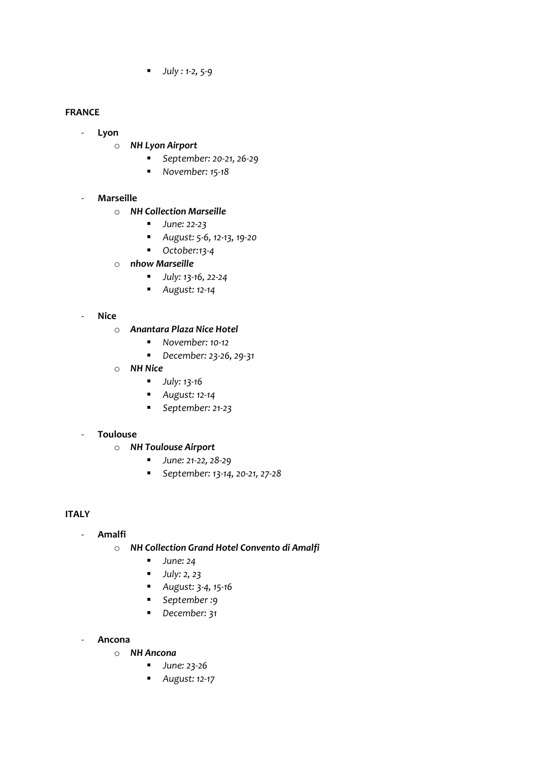▪ *July : 1-2, 5-9*

## **FRANCE**

- **Lyon**
	- o *NH Lyon Airport*
		- *September: 20-21, 26-29*
		- *November: 15-18*

# - **Marseille**

- o *NH Collection Marseille*
	- *June: 22-23*
	- *August: 5-6, 12-13, 19-20*
	- *October:13-4*
- o *nhow Marseille*
	- *July: 13-16, 22-24*
	- *August: 12-14*
- **Nice**
	- o *Anantara Plaza Nice Hotel*
		- *November: 10-12*
		- *December: 23-26, 29-31*
	- o *NH Nice*
		- *July: 13-16*
		- *August: 12-14*
		- *September: 21-23*

## - **Toulouse**

- o *NH Toulouse Airport*
	- *June: 21-22, 28-29*
	- *September: 13-14, 20-21, 27-28*

# **ITALY**

## - **Amalfi**

- o *NH Collection Grand Hotel Convento di Amalfi*
	- *June:* 24
	- *July: 2, 23*
	- *August: 3-4, 15-16*
	- *September :9*
	- *December: 31*
- **Ancona**
	- o *NH Ancona*
		- *June: 23-26*
		- *August: 12-17*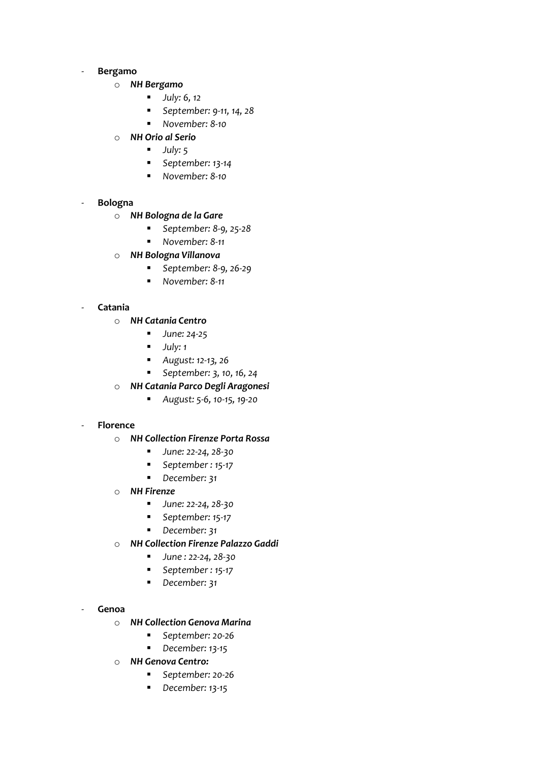#### - **Bergamo**

- o *NH Bergamo*
	- *July: 6, 12*
	- *September: 9-11, 14, 28*
	- *November: 8-10*
- o *NH Orio al Serio*
	- *July: 5*
	- *September: 13-14*
	- *November: 8-10*

## - **Bologna**

- o *NH Bologna de la Gare*
	- *September: 8-9, 25-28*
	- *November: 8-11*
- o *NH Bologna Villanova*
	- *September: 8-9, 26-29*
	- *November: 8-11*

## - **Catania**

- o *NH Catania Centro*
	- *June: 24-25*
	- *July: 1*
	- *August: 12-13, 26*
	- *September: 3, 10, 16, 24*
- o *NH Catania Parco Degli Aragonesi*
	- *August: 5-6, 10-15, 19-20*

#### - **Florence**

- o *NH Collection Firenze Porta Rossa*
	- *June: 22-24, 28-30*
	- *September : 15-17*
	- *December:* 31
- o *NH Firenze*
	- *June: 22-24, 28-30*
	- *September: 15-17*
	- *December: 31*
- o *NH Collection Firenze Palazzo Gaddi*
	- *June : 22-24, 28-30*
	- *September : 15-17*
	- *December: 31*

#### - **Genoa**

- o *NH Collection Genova Marina*
	- *September: 20-26*
	- *December: 13-15*
- o *NH Genova Centro:*
	- *September: 20-26*
	- *December: 13-15*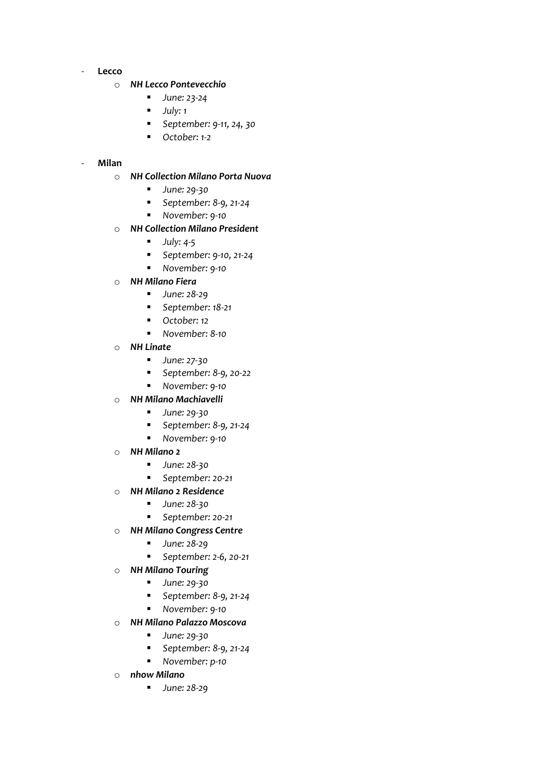- **Lecco**

#### o *NH Lecco Pontevecchio*

- *June: 23-24*
- *July: 1*
- *September: 9-11, 24, 30*
- *October: 1-2*

## - **Milan**

#### o *NH Collection Milano Porta Nuova*

- *June: 29-30*
- *September: 8-9, 21-24*
- *November: 9-10*

## o *NH Collection Milano President*

- *July: 4-5*
- *September: 9-10, 21-24*
- *November: 9-10*
- o *NH Milano Fiera*
	- *June: 28-29*
	- **September: 18-21**
	- *October:* 12
	- *November: 8-10*
- o *NH Linate*
	- *June: 27-30*
	- *September: 8-9, 20-22*
	- *November: 9-10*
- o *NH Milano Machiavelli*
	- *June: 29-30*
	- *September: 8-9, 21-24*
	- *November: 9-10*
- o *NH Milano 2*
	- *June:* 28-30
	- *September: 20-21*
- o *NH Milano 2 Residence*
	- *June:* 28-30
	- *September: 20-21*
- o *NH Milano Congress Centre*
	- *June: 28-29*
	- *September: 2-6, 20-21*
- o *NH Milano Touring*
	- *June: 29-30*
	- *September: 8-9, 21-24*
	- *November: 9-10*
- o *NH Milano Palazzo Moscova*
	- *June: 29-30*
	- *September: 8-9, 21-24*
	- *November: p-10*
- o *nhow Milano*
	- *June: 28-29*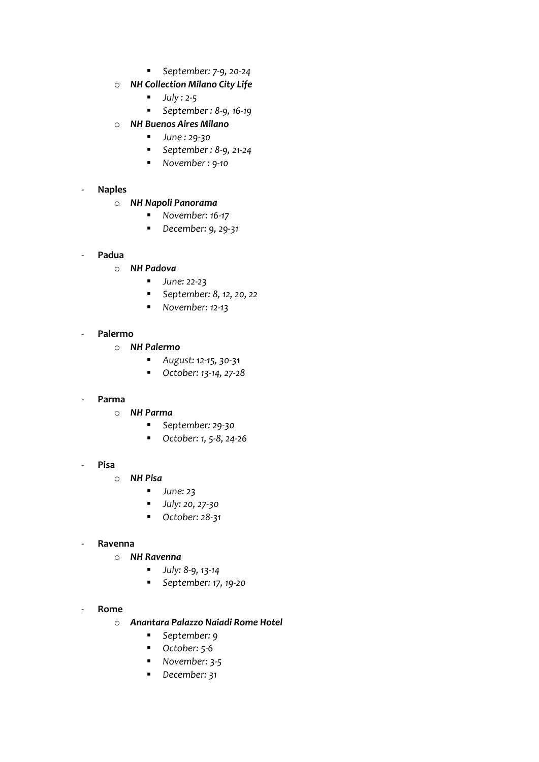- *September: 7-9, 20-24*
- o *NH Collection Milano City Life*
	- *July : 2-5*
	- *September : 8-9, 16-19*
- o *NH Buenos Aires Milano*
	- *June : 29-30*
	- *September : 8-9, 21-24*
	- *November : 9-10*

## - **Naples**

- o *NH Napoli Panorama*
	- *November:* 16-17
	- *December: 9, 29-31*
- **Padua**
	- o *NH Padova*
		- *June: 22-23*
		- *September: 8, 12, 20, 22*
		- *November: 12-13*

## - **Palermo**

- o *NH Palermo*
	- *August: 12-15, 30-31*
	- *October: 13-14, 27-28*

#### - **Parma**

- o *NH Parma*
	- *September: 29-30*
	- *October: 1, 5-8, 24-26*
- **Pisa**
	- o *NH Pisa*
		- *June:* 23
		- *July: 20, 27-30*
		- *October: 28-31*

#### - **Ravenna**

- o *NH Ravenna*
	- *July: 8-9, 13-14*
	- *September: 17, 19-20*

#### - **Rome**

- o *Anantara Palazzo Naiadi Rome Hotel*
	- *September: 9*
	- *October: 5-6*
	- *November: 3-5*
	- *December: 31*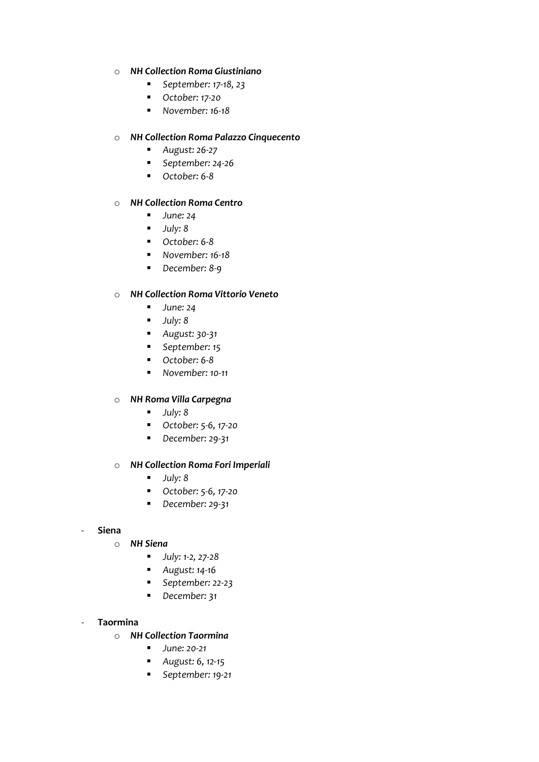## o *NH Collection Roma Giustiniano*

- *September: 17-18, 23*
- *October: 17-20*
- *November: 16-18*

## o *NH Collection Roma Palazzo Cinquecento*

- *August: 26-27*
- *September: 24-26*
- *October: 6-8*

## o *NH Collection Roma Centro*

- *June:* 24
- *July: 8*
- *October: 6-8*
- *November:* 16-18
- *December: 8-9*

## o *NH Collection Roma Vittorio Veneto*

- *June: 24*
- *July: 8*
- *August: 30-31*
- *September: 15*
- *October: 6-8*
- *November: 10-11*

#### o *NH Roma Villa Carpegna*

- *July: 8*
- *October: 5-6, 17-20*
- *December: 29-31*

#### o *NH Collection Roma Fori Imperiali*

- *July: 8*
- *October: 5-6, 17-20*
- *December: 29-31*

#### - **Siena**

- o *NH Siena*
	- *July: 1-2, 27-28*
	- *August: 14-16*
	- *September: 22-23*
	- *December: 31*

#### - **Taormina**

- o *NH Collection Taormina*
	- *June:* 20-21
	- *August: 6, 12-15*
	- *September: 19-21*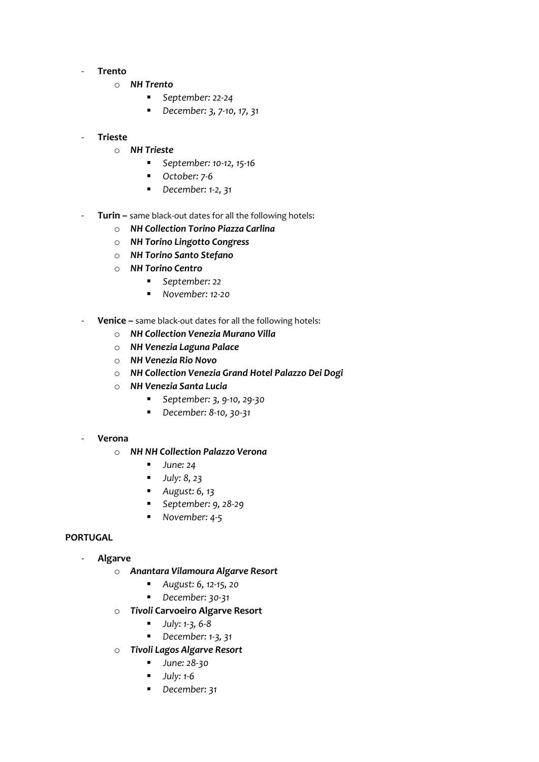#### - **Trento**

- o *NH Trento*
	- *September: 22-24*
	- *December: 3, 7-10, 17, 31*

## - **Trieste**

- o *NH Trieste*
	- *September: 10-12, 15-16*
	- *October: 7-6*
	- *December: 1-2, 31*
- **Turin** same black-out dates for all the following hotels:
	- o *NH Collection Torino Piazza Carlina*
	- o *NH Torino Lingotto Congress*
	- o *NH Torino Santo Stefano*
	- o *NH Torino Centro*
		- *September: 22*
			- *November: 12-20*
- **Venice –** same black-out dates for all the following hotels:
	- o *NH Collection Venezia Murano Villa*
	- o *NH Venezia Laguna Palace*
	- o *NH Venezia Rio Novo*
	- o *NH Collection Venezia Grand Hotel Palazzo Dei Dogi*
	- o *NH Venezia Santa Lucia*
		- *September: 3, 9-10, 29-30*
		- *December: 8-10, 30-31*
- **Verona**
	- o *NH NH Collection Palazzo Verona*
		- *June: 24*
		- *July: 8, 23*
		- *August: 6, 13*
		- *September: 9, 28-29*
		- *November: 4-5*

#### **PORTUGAL**

- **Algarve**
	- o *Anantara Vilamoura Algarve Resort*
		- *August: 6, 12-15, 20*
		- *December: 30-31*
	- o *Tivoli* **Carvoeiro Algarve Resort**
		- *July: 1-3, 6-8*
		- *December: 1-3, 31*
	- o *Tivoli Lagos Algarve Resort*
		- *June:* 28-30
		- *July: 1-6*
		- *December: 31*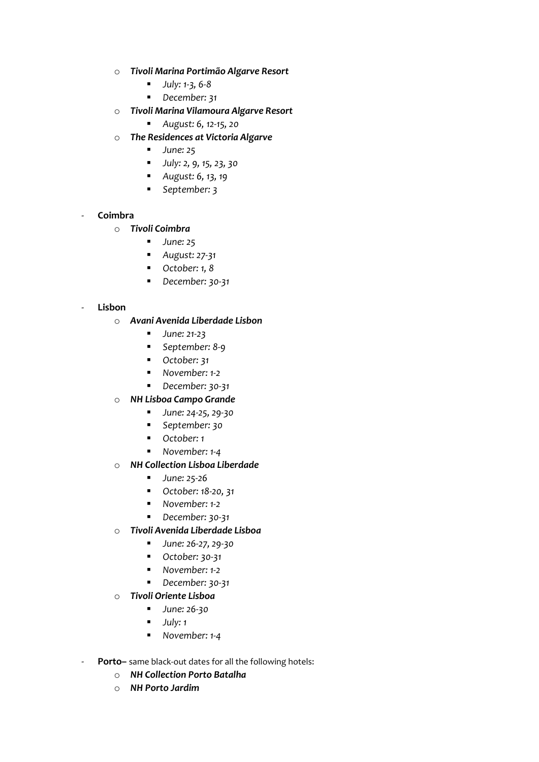- o *Tivoli Marina Portimão Algarve Resort*
	- *July: 1-3, 6-8*
	- *December: 31*
- o *Tivoli Marina Vilamoura Algarve Resort*
	- *August: 6, 12-15, 20*
- o *The Residences at Victoria Algarve*
	- *June:* 25
	- *July: 2, 9, 15, 23, 30*
	- *August: 6, 13, 19*
	- *September: 3*

## - **Coimbra**

- o *Tivoli Coimbra*
	- *June:* 25
	- *August: 27-31*
	- *October: 1, 8*
	- *December: 30-31*

## - **Lisbon**

- o *Avani Avenida Liberdade Lisbon*
	- *June:* 21-23
	- *September: 8-9*
	- *October:* 31
	- *November:* 1-2
	- *December:* 30-31
- o *NH Lisboa Campo Grande*
	- *June: 24-25, 29-30*
	- *September: 30*
	- *October: 1*
	- *November: 1-4*
- o *NH Collection Lisboa Liberdade*
	- *June:* 25-26
	- *October: 18-20, 31*
	- *November: 1-2*
	- *December: 30-31*
- o *Tivoli Avenida Liberdade Lisboa*
	- *June: 26-27, 29-30*
	- *October:* 30-31
	- *November:* 1-2
	- *December:* 30-31
- o *Tivoli Oriente Lisboa*
	- *June:* 26-30
	- *July: 1*
	- *November: 1-4*
- **Porto–** same black-out dates for all the following hotels:
	- o *NH Collection Porto Batalha*
	- o *NH Porto Jardim*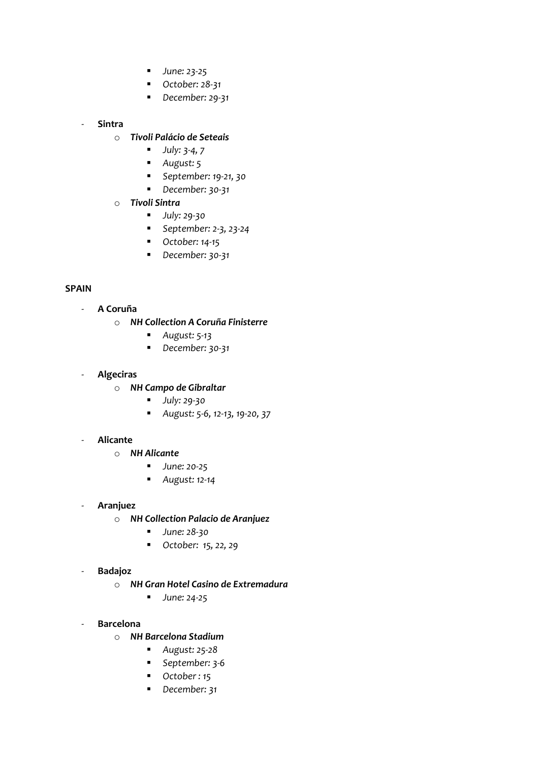- *June: 23-25*
- *October: 28-31*
- *December: 29-31*

# - **Sintra**

- o *Tivoli Palácio de Seteais*
	- *July: 3-4, 7*
	- *August: 5*
	- *September: 19-21, 30*
	- *December: 30-31*
- o *Tivoli Sintra*
	- *July: 29-30*
	- *September: 2-3, 23-24*
	- *October: 14-15*
	- *December: 30-31*

# **SPAIN**

- **A Coruña**
	- o *NH Collection A Coruña Finisterre*
		- *August: 5-13*
		- *December: 30-31*

## - **Algeciras**

- o *NH Campo de Gibraltar*
	- *July: 29-30*
	- *August: 5-6, 12-13, 19-20, 37*

## - **Alicante**

- o *NH Alicante*
	- *June:* 20-25
	- *August: 12-14*

## - **Aranjuez**

- o *NH Collection Palacio de Aranjuez*
	- *June:* 28-30
	- *October: 15, 22, 29*
- **Badajoz**
	- o *NH Gran Hotel Casino de Extremadura*
		- *June:* 24-25
- **Barcelona**
	- o *NH Barcelona Stadium*
		- *August: 25-28*
		- *September: 3-6*
		- *October:* 15
		- *December: 31*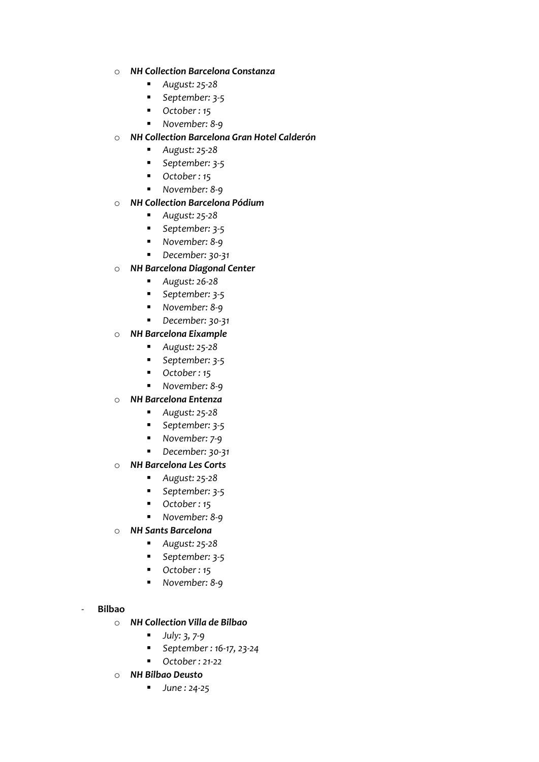## o *NH Collection Barcelona Constanza*

- *August: 25-28*
- *September: 3-5*
- *October:* 15
- *November: 8-9*

## o *NH Collection Barcelona Gran Hotel Calderón*

- *August: 25-28*
- *September: 3-5*
- *October:* 15
- *November: 8-9*

## o *NH Collection Barcelona Pódium*

- *August: 25-28*
- *September: 3-5*
- *November: 8-9*
- *December: 30-31*

## o *NH Barcelona Diagonal Center*

- *August: 26-28*
- *September: 3-5*
- *November: 8-9*
- *December:* 30-31

## o *NH Barcelona Eixample*

- *August: 25-28*
- *September: 3-5*
- *October:* 15
- *November: 8-9*
- o *NH Barcelona Entenza*
	- *August: 25-28*
	- *September: 3-5*
	- *November: 7-9*
	- *December: 30-31*
- o *NH Barcelona Les Corts*
	- *August: 25-28*
	- *September: 3-5*
	- *October : 15*
	- *November: 8-9*
- o *NH Sants Barcelona*
	- *August: 25-28*
	- *September: 3-5*
	- *October:* 15
	- *November: 8-9*

#### - **Bilbao**

- o *NH Collection Villa de Bilbao*
	- *July: 3, 7-9*
	- *September : 16-17, 23-24*
	- *October : 21-22*
- o *NH Bilbao Deusto*
	- *June : 24-25*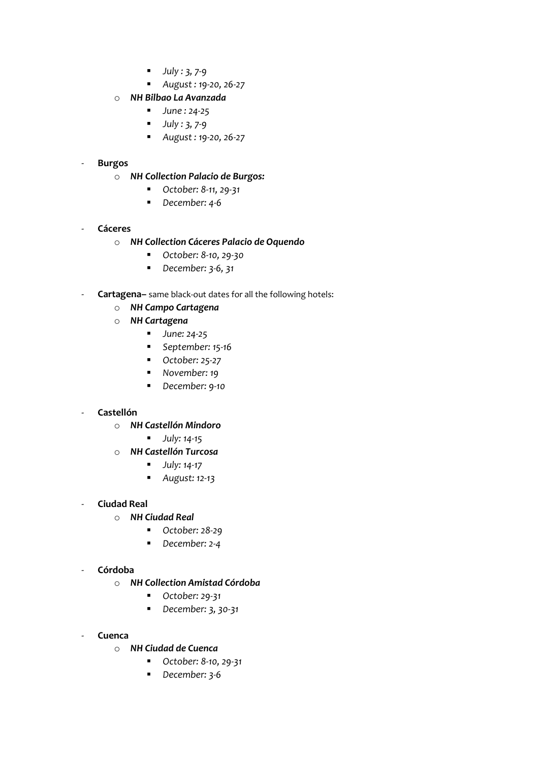- *July : 3, 7-9*
- *August : 19-20, 26-27*
- o *NH Bilbao La Avanzada*
	- *June : 24-25*
	- *July : 3, 7-9*
	- *August : 19-20, 26-27*

## - **Burgos**

- o *NH Collection Palacio de Burgos:*
	- *October: 8-11, 29-31*
	- *December: 4-6*

## - **Cáceres**

- o *NH Collection Cáceres Palacio de Oquendo*
	- *October: 8-10, 29-30*
	- *December: 3-6, 31*
- **Cartagena–** same black-out dates for all the following hotels:
	- o *NH Campo Cartagena*
	- o *NH Cartagena*
		- *June: 24-25*
		- *September:* 15-16
		- *October: 25-27*
		- *November: 19*
		- *December: 9-10*

## - **Castellón**

- o *NH Castellón Mindoro*
	- *July: 14-15*
- o *NH Castellón Turcosa*
	- *July: 14-17*
	- *August: 12-13*
- **Ciudad Real**
	- o *NH Ciudad Real*
		- *October: 28-29*
		- *December: 2-4*
- **Córdoba**
	- o *NH Collection Amistad Córdoba*
		- *October: 29-31*
		- *December: 3, 30-31*
- **Cuenca**
	- o *NH Ciudad de Cuenca*
		- *October: 8-10, 29-31*
		- *December: 3-6*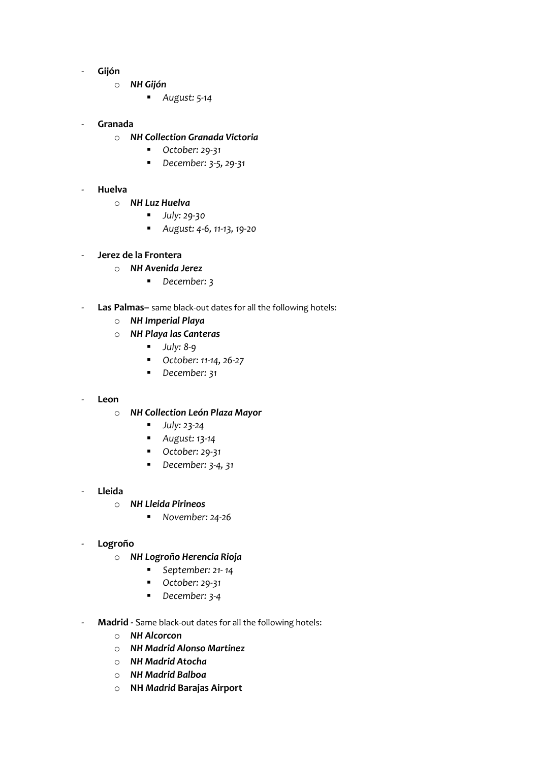- **Gijón**
	- o *NH Gijón*
		- *August: 5-14*

## - **Granada**

- o *NH Collection Granada Victoria*
	- *October: 29-31*
	- *December: 3-5, 29-31*
- **Huelva**
	- o *NH Luz Huelva*
		- *July: 29-30*
		- *August: 4-6, 11-13, 19-20*
- **Jerez de la Frontera**
	- o *NH Avenida Jerez*
		- *December: 3*
- Las Palmas- same black-out dates for all the following hotels:
	- o *NH Imperial Playa*
	- o *NH Playa las Canteras*
		- *July: 8-9*
		- *October: 11-14, 26-27*
		- *December: 31*

#### - **Leon**

#### o *NH Collection León Plaza Mayor*

- *July: 23-24*
- *August: 13-14*
- *October: 29-31*
- *December: 3-4, 31*
- **Lleida**
	- o *NH Lleida Pirineos*
		- *November: 24-26*

#### - **Logroño**

- o *NH Logroño Herencia Rioja*
	- *September: 21- 14*
	- *October: 29-31*
	- *December: 3-4*
- **Madrid -** Same black-out dates for all the following hotels:
	- o *NH Alcorcon*
	- o *NH Madrid Alonso Martinez*
	- o *NH Madrid Atocha*
	- o *NH Madrid Balboa*
	- o **NH** *Madrid* **Barajas Airport**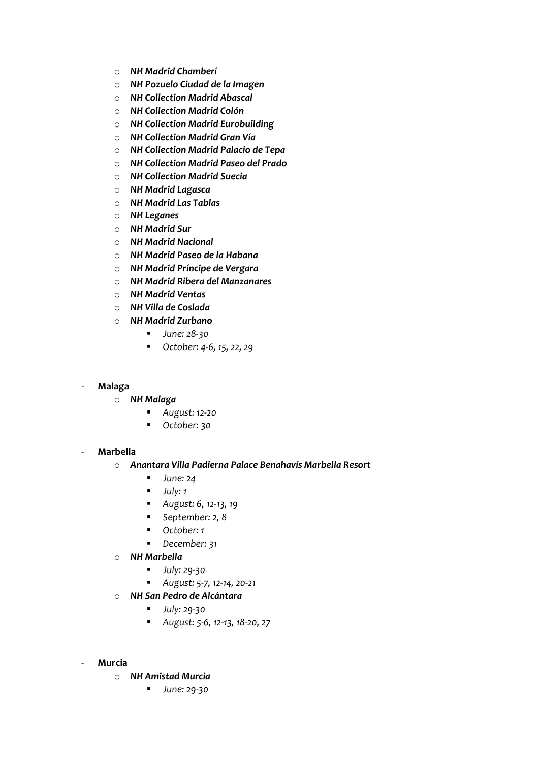- o *NH Madrid Chamberí*
- o *NH Pozuelo Ciudad de la Imagen*
- o *NH Collection Madrid Abascal*
- o *NH Collection Madrid Colón*
- o *NH Collection Madrid Eurobuilding*
- o *NH Collection Madrid Gran Vía*
- o *NH Collection Madrid Palacio de Tepa*
- o *NH Collection Madrid Paseo del Prado*
- o *NH Collection Madrid Suecia*
- o *NH Madrid Lagasca*
- o *NH Madrid Las Tablas*
- o *NH Leganes*
- o *NH Madrid Sur*
- o *NH Madrid Nacional*
- o *NH Madrid Paseo de la Habana*
- o *NH Madrid Príncipe de Vergara*
- o *NH Madrid Ribera del Manzanares*
- o *NH Madrid Ventas*
- o *NH Villa de Coslada*
- o *NH Madrid Zurbano*
	- *June:* 28-30
	- *October: 4-6, 15, 22, 29*

#### - **Malaga**

- o *NH Malaga*
	- *August: 12-20*
	- *October: 30*

#### - **Marbella**

#### o *Anantara Villa Padierna Palace Benahavís Marbella Resort*

- *June:* 24
- *July: 1*
- *August: 6, 12-13, 19*
- *September: 2, 8*
- *October: 1*
- *December: 31*
- o *NH Marbella*
	- *July: 29-30*
	- *August: 5-7, 12-14, 20-21*
- o *NH San Pedro de Alcántara*
	- *July: 29-30*
	- *August: 5-6, 12-13, 18-20, 27*
- **Murcia**
	- o *NH Amistad Murcia*
		- *June:* 29-30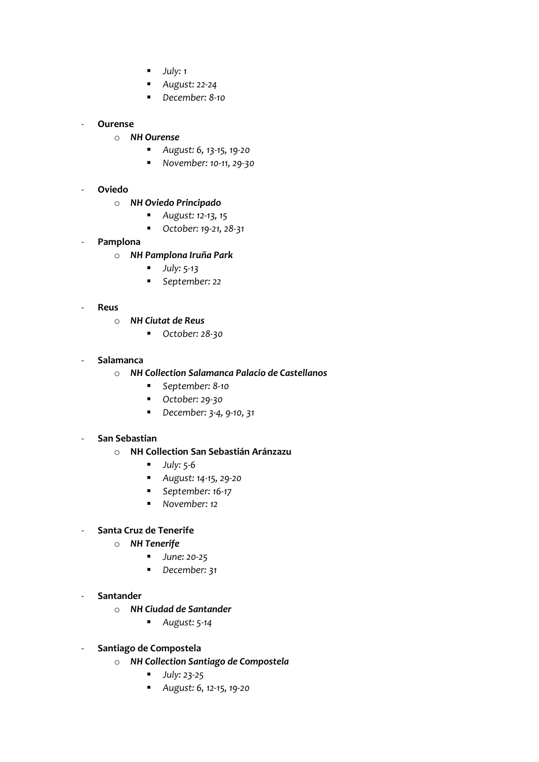- *July: 1*
- *August: 22-24*
- *December: 8-10*

## - **Ourense**

- o *NH Ourense*
	- *August: 6, 13-15, 19-20*
	- *November: 10-11, 29-30*
- **Oviedo**
	- o *NH Oviedo Principado*
		- *August: 12-13, 15*
		- *October: 19-21, 28-31*
- **Pamplona**
	- o *NH Pamplona Iruña Park*
		- *July: 5-13*
		- *September: 22*
- **Reus**
	- o *NH Ciutat de Reus*
		- *October: 28-30*
- **Salamanca**
	- o *NH Collection Salamanca Palacio de Castellanos*
		- *September: 8-10*
		- *October: 29-30*
		- *December: 3-4, 9-10, 31*

#### - **San Sebastian**

- o **NH Collection San Sebastián Aránzazu**
	- *July: 5-6*
	- *August: 14-15, 29-20*
	- September: 16-17
	- *November:* 12

# - **Santa Cruz de Tenerife**

- o *NH Tenerife*
	- *June:* 20-25
	- *December: 31*
- **Santander**
	- o *NH Ciudad de Santander*
		- *August: 5-14*
- **Santiago de Compostela**
	- o *NH Collection Santiago de Compostela*
		- *July: 23-25*
		- *August: 6, 12-15, 19-20*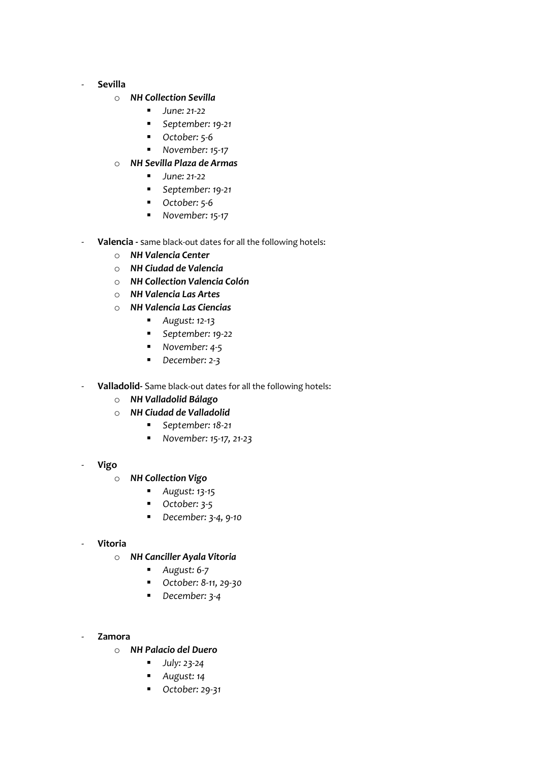#### - **Sevilla**

#### o *NH Collection Sevilla*

- *June: 21-22*
- *September: 19-21*
- *October:* 5-6
- *November: 15-17*
- o *NH Sevilla Plaza de Armas*
	- *June: 21-22*
	- *September: 19-21*
	- *October: 5-6*
	- *November:* 15-17
- Valencia same black-out dates for all the following hotels:
	- o *NH Valencia Center*
	- o *NH Ciudad de Valencia*
	- o *NH Collection Valencia Colón*
	- o *NH Valencia Las Artes*
	- o *NH Valencia Las Ciencias*
		- *August: 12-13*
		- *September: 19-22*
		- *November: 4-5*
		- *December: 2-3*
- Valladolid- Same black-out dates for all the following hotels:
	- o *NH Valladolid Bálago*
	- o *NH Ciudad de Valladolid*
		- *September: 18-21*
		- *November: 15-17, 21-23*
- **Vigo**
	- o *NH Collection Vigo*
		- *August: 13-15*
		- *October:* 3-5
		- *December: 3-4, 9-10*

#### - **Vitoria**

- o *NH Canciller Ayala Vitoria*
	- *August: 6-7*
	- *October: 8-11, 29-30*
	- *December: 3-4*
- **Zamora**
	- o *NH Palacio del Duero*
		- *July: 23-24*
		- *August: 14*
		- *October: 29-31*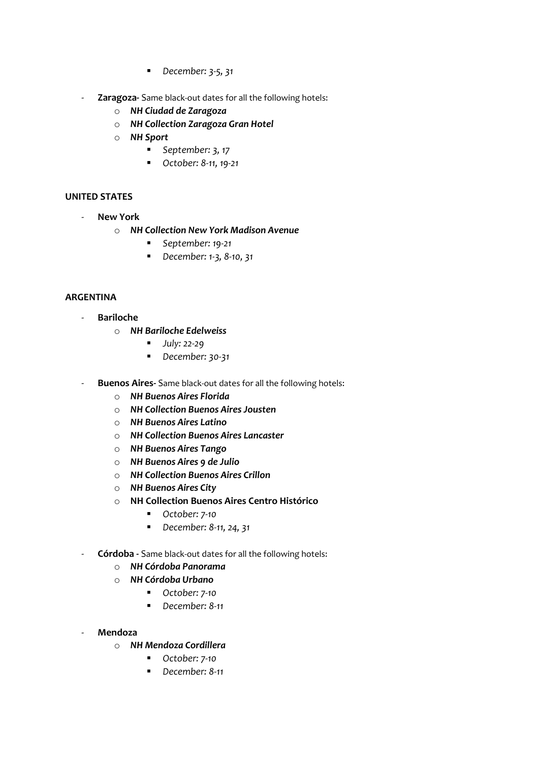- *December: 3-5, 31*
- **Zaragoza-** Same black-out dates for all the following hotels:
	- o *NH Ciudad de Zaragoza*
	- o *NH Collection Zaragoza Gran Hotel*
	- o *NH Sport*
		- *September: 3, 17*
		- *October: 8-11, 19-21*

## **UNITED STATES**

- **New York** 
	- o *NH Collection New York Madison Avenue*
		- *September: 19-21*
		- *December: 1-3, 8-10, 31*

## **ARGENTINA**

- **Bariloche**
	- o *NH Bariloche Edelweiss*
		- *July:* 22-29
		- *December: 30-31*
- **Buenos Aires-** Same black-out dates for all the following hotels:
	- o *NH Buenos Aires Florida*
	- o *NH Collection Buenos Aires Jousten*
	- o *NH Buenos Aires Latino*
	- o *NH Collection Buenos Aires Lancaster*
	- o *NH Buenos Aires Tango*
	- o *NH Buenos Aires 9 de Julio*
	- o *NH Collection Buenos Aires Crillon*
	- o *NH Buenos Aires City*
	- o **NH Collection Buenos Aires Centro Histórico**
		- *October: 7-10*
		- *December: 8-11, 24, 31*
- **Córdoba -** Same black-out dates for all the following hotels:
	- o *NH Córdoba Panorama*
	- o *NH Córdoba Urbano*
		- *October: 7-10*
		- *December: 8-11*
- **Mendoza**
	- o *NH Mendoza Cordillera*
		- *October: 7-10*
		- *December: 8-11*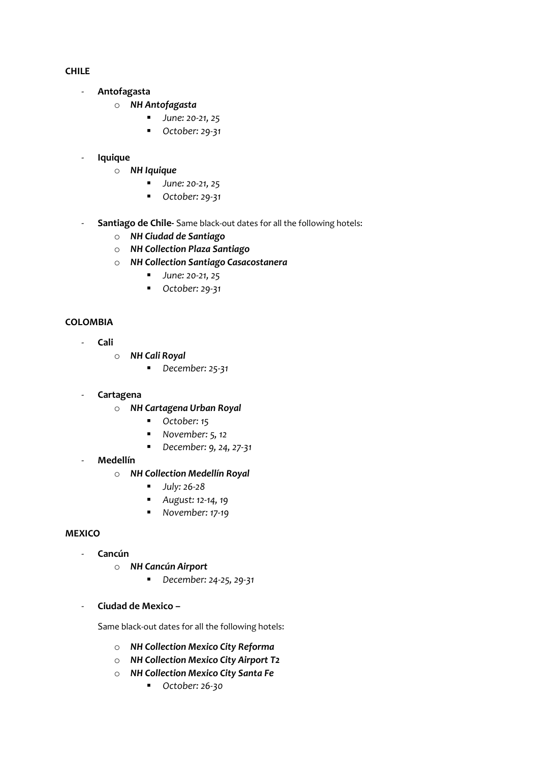**CHILE**

- **Antofagasta**
	- o *NH Antofagasta*
		- *June: 20-21, 25*
		- *October: 29-31*
- **Iquique**
	- o *NH Iquique*
		- *June: 20-21, 25*
		- *October: 29-31*
- **Santiago de Chile-** Same black-out dates for all the following hotels:
	- o *NH Ciudad de Santiago*
	- o *NH Collection Plaza Santiago*
	- o *NH Collection Santiago Casacostanera*
		- *June: 20-21, 25*
		- *October: 29-31*

# **COLOMBIA**

- **Cali**
	- o *NH Cali Royal*
		- *December: 25-31*
	- **Cartagena**
		- o *NH Cartagena Urban Royal*
			- *October:* 15
			- *November:* 5, 12
			- *December: 9, 24, 27-31*
	- **Medellín**
		- o *NH Collection Medellín Royal*
			- *July: 26-28*
			- *August: 12-14, 19*
			- *November: 17-19*

#### **MEXICO**

- **Cancún**
	- o *NH Cancún Airport*
		- *December: 24-25, 29-31*
- **Ciudad de Mexico –**

Same black-out dates for all the following hotels:

- o *NH Collection Mexico City Reforma*
- o *NH Collection Mexico City Airport T2*
- o *NH Collection Mexico City Santa Fe*
	- *October: 26-30*